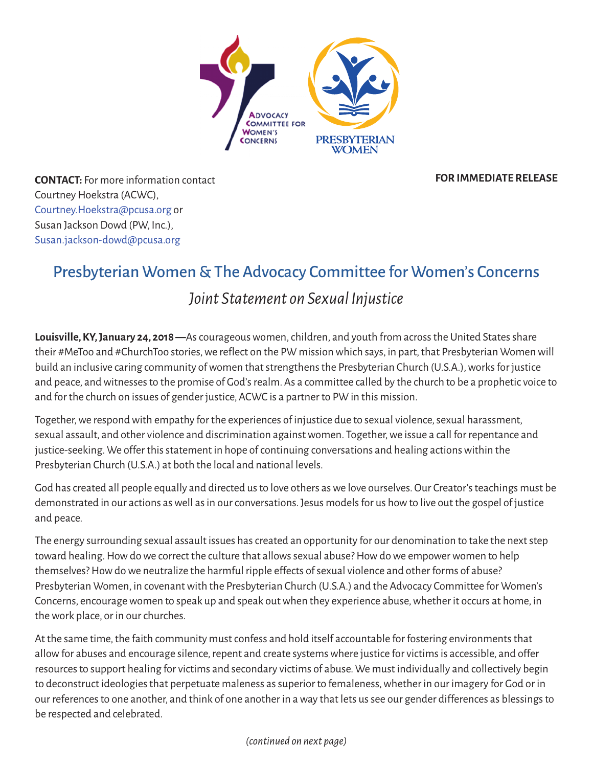

**FOR IMMEDIATE RELEASE**

**CONTACT:** For more information contact Courtney Hoekstra (ACWC), [Courtney.Hoekstra@pcusa.org](mailto:courtney.hoekstra@pcusa.org) or Susan Jackson Dowd (PW, Inc.), [Susan.jackson-dowd@pcusa.org](mailto:Susan.jackson-dowd@pcusa.org)

# Presbyterian Women & The Advocacy Committee for Women's Concerns

## *Joint Statement on Sexual Injustice*

**Louisville,KY,January 24, 2018—**Ascourageouswomen,children, and youth from acrossthe United Statesshare their #MeToo and #ChurchToo stories, we reflect on the PW mission which says, in part, that Presbyterian Women will build an inclusive caring community of women that strengthens the Presbyterian Church (U.S.A.), works for justice and peace, and witnesses to the promise of God's realm. As a committee called by the church to be a prophetic voice to and for the church on issues of gender justice, ACWC is a partner to PW in this mission.

Together, we respond with empathy for the experiences of injustice due to sexual violence, sexual harassment, sexual assault, and other violence and discrimination against women. Together, we issue a call for repentance and justice-seeking. We offer this statement in hope of continuing conversations and healing actions within the Presbyterian Church (U.S.A.) at both the local and national levels.

God hascreated all people equally and directed usto love others aswe love ourselves.Our Creator'steachings must be demonstrated in our actions as well as in our conversations. Jesus models for us how to live out the gospel of justice and peace.

The energy surrounding sexual assault issues has created an opportunity for our denomination to take the next step toward healing. How do we correct the culture that allows sexual abuse? How do we empower women to help themselves? How do we neutralize the harmful ripple effects of sexual violence and other forms of abuse? Presbyterian Women, in covenant with the Presbyterian Church (U.S.A.) and the Advocacy Committee for Women's Concerns, encourage women to speak up and speak out when they experience abuse, whether it occurs at home, in the work place, or in our churches.

At the same time, the faith community must confess and hold itself accountable for fostering environments that allow for abuses and encourage silence, repent and create systems where justice for victims is accessible, and offer resources to support healing for victims and secondary victims of abuse. We must individually and collectively begin to deconstruct ideologies that perpetuate maleness as superior to femaleness, whether in our imagery for God or in our references to one another, and think of one another in a way that lets us see our gender differences as blessings to be respected and celebrated.

#### *(continued on next page)*